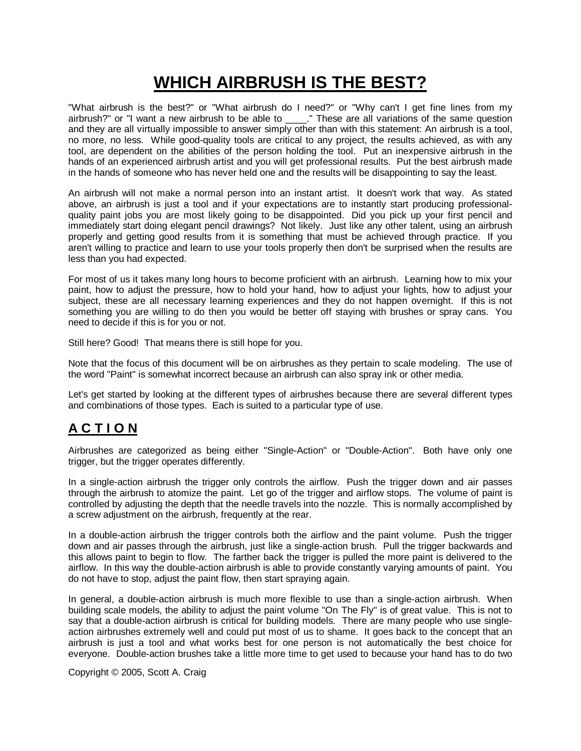# **WHICH AIRBRUSH IS THE BEST?**

"What airbrush is the best?" or "What airbrush do I need?" or "Why can't I get fine lines from my airbrush?" or "I want a new airbrush to be able to \_\_\_\_." These are all variations of the same question and they are all virtually impossible to answer simply other than with this statement: An airbrush is a tool, no more, no less. While good-quality tools are critical to any project, the results achieved, as with any tool, are dependent on the abilities of the person holding the tool. Put an inexpensive airbrush in the hands of an experienced airbrush artist and you will get professional results. Put the best airbrush made in the hands of someone who has never held one and the results will be disappointing to say the least.

An airbrush will not make a normal person into an instant artist. It doesn't work that way. As stated above, an airbrush is just a tool and if your expectations are to instantly start producing professionalquality paint jobs you are most likely going to be disappointed. Did you pick up your first pencil and immediately start doing elegant pencil drawings? Not likely. Just like any other talent, using an airbrush properly and getting good results from it is something that must be achieved through practice. If you aren't willing to practice and learn to use your tools properly then don't be surprised when the results are less than you had expected.

For most of us it takes many long hours to become proficient with an airbrush. Learning how to mix your paint, how to adjust the pressure, how to hold your hand, how to adjust your lights, how to adjust your subject, these are all necessary learning experiences and they do not happen overnight. If this is not something you are willing to do then you would be better off staying with brushes or spray cans. You need to decide if this is for you or not.

Still here? Good! That means there is still hope for you.

Note that the focus of this document will be on airbrushes as they pertain to scale modeling. The use of the word "Paint" is somewhat incorrect because an airbrush can also spray ink or other media.

Let's get started by looking at the different types of airbrushes because there are several different types and combinations of those types. Each is suited to a particular type of use.

# **A C T I O N**

Airbrushes are categorized as being either "Single-Action" or "Double-Action". Both have only one trigger, but the trigger operates differently.

In a single-action airbrush the trigger only controls the airflow. Push the trigger down and air passes through the airbrush to atomize the paint. Let go of the trigger and airflow stops. The volume of paint is controlled by adjusting the depth that the needle travels into the nozzle. This is normally accomplished by a screw adjustment on the airbrush, frequently at the rear.

In a double-action airbrush the trigger controls both the airflow and the paint volume. Push the trigger down and air passes through the airbrush, just like a single-action brush. Pull the trigger backwards and this allows paint to begin to flow. The farther back the trigger is pulled the more paint is delivered to the airflow. In this way the double-action airbrush is able to provide constantly varying amounts of paint. You do not have to stop, adjust the paint flow, then start spraying again.

In general, a double-action airbrush is much more flexible to use than a single-action airbrush. When building scale models, the ability to adjust the paint volume "On The Fly" is of great value. This is not to say that a double-action airbrush is critical for building models. There are many people who use singleaction airbrushes extremely well and could put most of us to shame. It goes back to the concept that an airbrush is just a tool and what works best for one person is not automatically the best choice for everyone. Double-action brushes take a little more time to get used to because your hand has to do two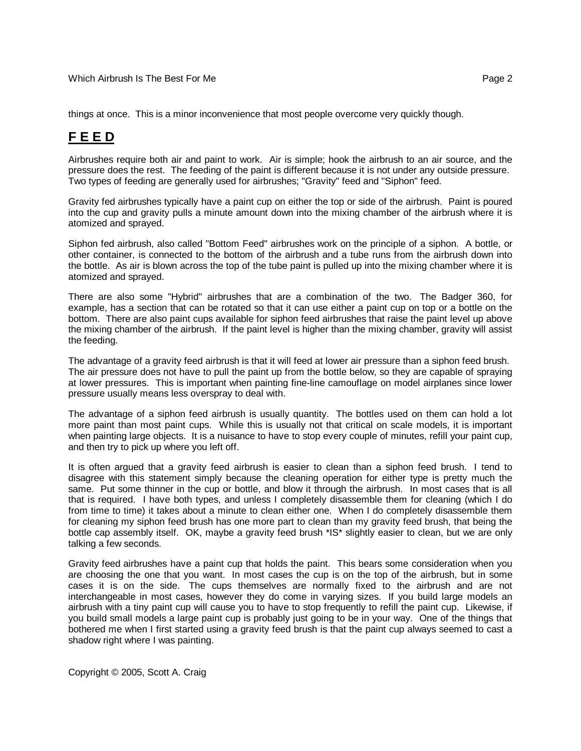things at once. This is a minor inconvenience that most people overcome very quickly though.

# **F E E D**

Airbrushes require both air and paint to work. Air is simple; hook the airbrush to an air source, and the pressure does the rest. The feeding of the paint is different because it is not under any outside pressure. Two types of feeding are generally used for airbrushes; "Gravity" feed and "Siphon" feed.

Gravity fed airbrushes typically have a paint cup on either the top or side of the airbrush. Paint is poured into the cup and gravity pulls a minute amount down into the mixing chamber of the airbrush where it is atomized and sprayed.

Siphon fed airbrush, also called "Bottom Feed" airbrushes work on the principle of a siphon. A bottle, or other container, is connected to the bottom of the airbrush and a tube runs from the airbrush down into the bottle. As air is blown across the top of the tube paint is pulled up into the mixing chamber where it is atomized and sprayed.

There are also some "Hybrid" airbrushes that are a combination of the two. The Badger 360, for example, has a section that can be rotated so that it can use either a paint cup on top or a bottle on the bottom. There are also paint cups available for siphon feed airbrushes that raise the paint level up above the mixing chamber of the airbrush. If the paint level is higher than the mixing chamber, gravity will assist the feeding.

The advantage of a gravity feed airbrush is that it will feed at lower air pressure than a siphon feed brush. The air pressure does not have to pull the paint up from the bottle below, so they are capable of spraying at lower pressures. This is important when painting fine-line camouflage on model airplanes since lower pressure usually means less overspray to deal with.

The advantage of a siphon feed airbrush is usually quantity. The bottles used on them can hold a lot more paint than most paint cups. While this is usually not that critical on scale models, it is important when painting large objects. It is a nuisance to have to stop every couple of minutes, refill your paint cup, and then try to pick up where you left off.

It is often argued that a gravity feed airbrush is easier to clean than a siphon feed brush. I tend to disagree with this statement simply because the cleaning operation for either type is pretty much the same. Put some thinner in the cup or bottle, and blow it through the airbrush. In most cases that is all that is required. I have both types, and unless I completely disassemble them for cleaning (which I do from time to time) it takes about a minute to clean either one. When I do completely disassemble them for cleaning my siphon feed brush has one more part to clean than my gravity feed brush, that being the bottle cap assembly itself. OK, maybe a gravity feed brush \*IS\* slightly easier to clean, but we are only talking a few seconds.

Gravity feed airbrushes have a paint cup that holds the paint. This bears some consideration when you are choosing the one that you want. In most cases the cup is on the top of the airbrush, but in some cases it is on the side. The cups themselves are normally fixed to the airbrush and are not interchangeable in most cases, however they do come in varying sizes. If you build large models an airbrush with a tiny paint cup will cause you to have to stop frequently to refill the paint cup. Likewise, if you build small models a large paint cup is probably just going to be in your way. One of the things that bothered me when I first started using a gravity feed brush is that the paint cup always seemed to cast a shadow right where I was painting.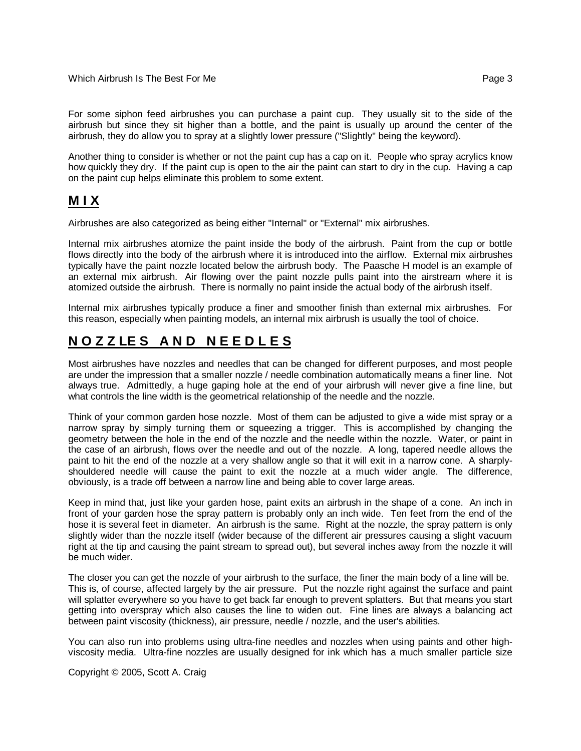#### Which Airbrush Is The Best For Me **Page 3** and the *Page 3* and the *Page 3*

For some siphon feed airbrushes you can purchase a paint cup. They usually sit to the side of the airbrush but since they sit higher than a bottle, and the paint is usually up around the center of the airbrush, they do allow you to spray at a slightly lower pressure ("Slightly" being the keyword).

Another thing to consider is whether or not the paint cup has a cap on it. People who spray acrylics know how quickly they dry. If the paint cup is open to the air the paint can start to dry in the cup. Having a cap on the paint cup helps eliminate this problem to some extent.

#### **M I X**

Airbrushes are also categorized as being either "Internal" or "External" mix airbrushes.

Internal mix airbrushes atomize the paint inside the body of the airbrush. Paint from the cup or bottle flows directly into the body of the airbrush where it is introduced into the airflow. External mix airbrushes typically have the paint nozzle located below the airbrush body. The Paasche H model is an example of an external mix airbrush. Air flowing over the paint nozzle pulls paint into the airstream where it is atomized outside the airbrush. There is normally no paint inside the actual body of the airbrush itself.

Internal mix airbrushes typically produce a finer and smoother finish than external mix airbrushes. For this reason, especially when painting models, an internal mix airbrush is usually the tool of choice.

# **N O Z Z LE S A N D N E E D L E S**

Most airbrushes have nozzles and needles that can be changed for different purposes, and most people are under the impression that a smaller nozzle / needle combination automatically means a finer line. Not always true. Admittedly, a huge gaping hole at the end of your airbrush will never give a fine line, but what controls the line width is the geometrical relationship of the needle and the nozzle.

Think of your common garden hose nozzle. Most of them can be adjusted to give a wide mist spray or a narrow spray by simply turning them or squeezing a trigger. This is accomplished by changing the geometry between the hole in the end of the nozzle and the needle within the nozzle. Water, or paint in the case of an airbrush, flows over the needle and out of the nozzle. A long, tapered needle allows the paint to hit the end of the nozzle at a very shallow angle so that it will exit in a narrow cone. A sharplyshouldered needle will cause the paint to exit the nozzle at a much wider angle. The difference, obviously, is a trade off between a narrow line and being able to cover large areas.

Keep in mind that, just like your garden hose, paint exits an airbrush in the shape of a cone. An inch in front of your garden hose the spray pattern is probably only an inch wide. Ten feet from the end of the hose it is several feet in diameter. An airbrush is the same. Right at the nozzle, the spray pattern is only slightly wider than the nozzle itself (wider because of the different air pressures causing a slight vacuum right at the tip and causing the paint stream to spread out), but several inches away from the nozzle it will be much wider.

The closer you can get the nozzle of your airbrush to the surface, the finer the main body of a line will be. This is, of course, affected largely by the air pressure. Put the nozzle right against the surface and paint will splatter everywhere so you have to get back far enough to prevent splatters. But that means you start getting into overspray which also causes the line to widen out. Fine lines are always a balancing act between paint viscosity (thickness), air pressure, needle / nozzle, and the user's abilities.

You can also run into problems using ultra-fine needles and nozzles when using paints and other highviscosity media. Ultra-fine nozzles are usually designed for ink which has a much smaller particle size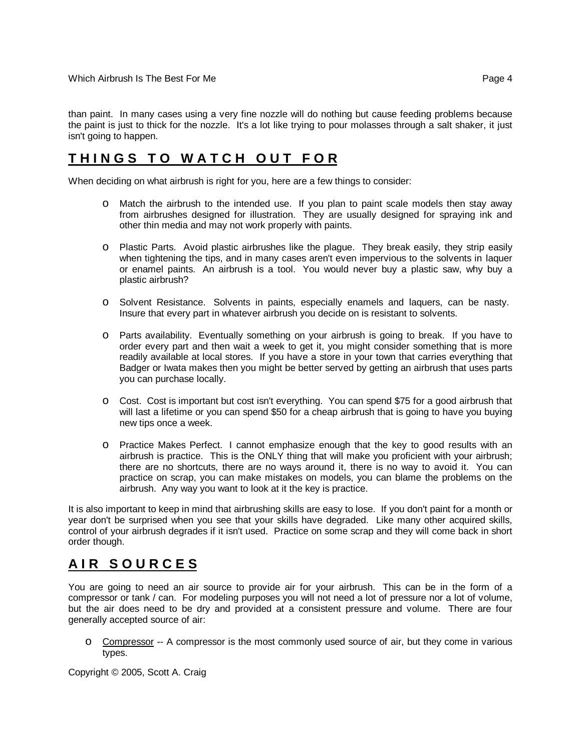than paint. In many cases using a very fine nozzle will do nothing but cause feeding problems because the paint is just to thick for the nozzle. It's a lot like trying to pour molasses through a salt shaker, it just isn't going to happen.

### **T H I N G S T O W A T C H O U T F O R**

When deciding on what airbrush is right for you, here are a few things to consider:

- o Match the airbrush to the intended use. If you plan to paint scale models then stay away from airbrushes designed for illustration. They are usually designed for spraying ink and other thin media and may not work properly with paints.
- o Plastic Parts. Avoid plastic airbrushes like the plague. They break easily, they strip easily when tightening the tips, and in many cases aren't even impervious to the solvents in laquer or enamel paints. An airbrush is a tool. You would never buy a plastic saw, why buy a plastic airbrush?
- o Solvent Resistance. Solvents in paints, especially enamels and laquers, can be nasty. Insure that every part in whatever airbrush you decide on is resistant to solvents.
- o Parts availability. Eventually something on your airbrush is going to break. If you have to order every part and then wait a week to get it, you might consider something that is more readily available at local stores. If you have a store in your town that carries everything that Badger or Iwata makes then you might be better served by getting an airbrush that uses parts you can purchase locally.
- o Cost. Cost is important but cost isn't everything. You can spend \$75 for a good airbrush that will last a lifetime or you can spend \$50 for a cheap airbrush that is going to have you buying new tips once a week.
- o Practice Makes Perfect. I cannot emphasize enough that the key to good results with an airbrush is practice. This is the ONLY thing that will make you proficient with your airbrush; there are no shortcuts, there are no ways around it, there is no way to avoid it. You can practice on scrap, you can make mistakes on models, you can blame the problems on the airbrush. Any way you want to look at it the key is practice.

It is also important to keep in mind that airbrushing skills are easy to lose. If you don't paint for a month or year don't be surprised when you see that your skills have degraded. Like many other acquired skills, control of your airbrush degrades if it isn't used. Practice on some scrap and they will come back in short order though.

# **AIR SOURCES**

You are going to need an air source to provide air for your airbrush. This can be in the form of a compressor or tank / can. For modeling purposes you will not need a lot of pressure nor a lot of volume, but the air does need to be dry and provided at a consistent pressure and volume. There are four generally accepted source of air:

o Compressor -- A compressor is the most commonly used source of air, but they come in various types.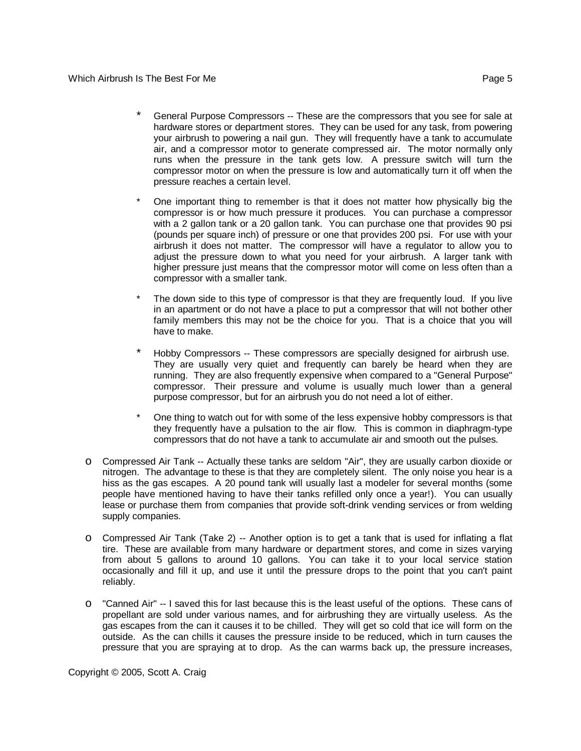- General Purpose Compressors -- These are the compressors that you see for sale at hardware stores or department stores. They can be used for any task, from powering your airbrush to powering a nail gun. They will frequently have a tank to accumulate air, and a compressor motor to generate compressed air. The motor normally only runs when the pressure in the tank gets low. A pressure switch will turn the compressor motor on when the pressure is low and automatically turn it off when the pressure reaches a certain level.
- One important thing to remember is that it does not matter how physically big the compressor is or how much pressure it produces. You can purchase a compressor with a 2 gallon tank or a 20 gallon tank. You can purchase one that provides 90 psi (pounds per square inch) of pressure or one that provides 200 psi. For use with your airbrush it does not matter. The compressor will have a regulator to allow you to adjust the pressure down to what you need for your airbrush. A larger tank with higher pressure just means that the compressor motor will come on less often than a compressor with a smaller tank.
- The down side to this type of compressor is that they are frequently loud. If you live in an apartment or do not have a place to put a compressor that will not bother other family members this may not be the choice for you. That is a choice that you will have to make.
- Hobby Compressors -- These compressors are specially designed for airbrush use. They are usually very quiet and frequently can barely be heard when they are running. They are also frequently expensive when compared to a "General Purpose" compressor. Their pressure and volume is usually much lower than a general purpose compressor, but for an airbrush you do not need a lot of either.
- One thing to watch out for with some of the less expensive hobby compressors is that they frequently have a pulsation to the air flow. This is common in diaphragm-type compressors that do not have a tank to accumulate air and smooth out the pulses.
- o Compressed Air Tank -- Actually these tanks are seldom "Air", they are usually carbon dioxide or nitrogen. The advantage to these is that they are completely silent. The only noise you hear is a hiss as the gas escapes. A 20 pound tank will usually last a modeler for several months (some people have mentioned having to have their tanks refilled only once a year!). You can usually lease or purchase them from companies that provide soft-drink vending services or from welding supply companies.
- o Compressed Air Tank (Take 2) -- Another option is to get a tank that is used for inflating a flat tire. These are available from many hardware or department stores, and come in sizes varying from about 5 gallons to around 10 gallons. You can take it to your local service station occasionally and fill it up, and use it until the pressure drops to the point that you can't paint reliably.
- o "Canned Air" -- I saved this for last because this is the least useful of the options. These cans of propellant are sold under various names, and for airbrushing they are virtually useless. As the gas escapes from the can it causes it to be chilled. They will get so cold that ice will form on the outside. As the can chills it causes the pressure inside to be reduced, which in turn causes the pressure that you are spraying at to drop. As the can warms back up, the pressure increases,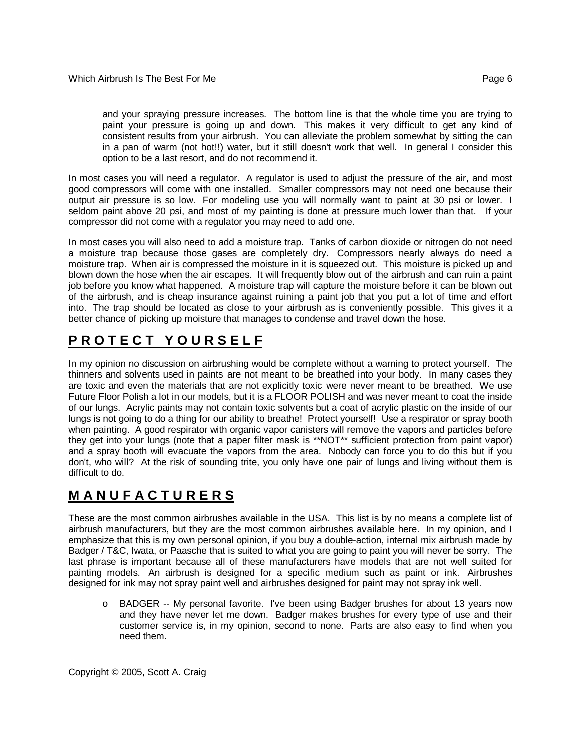and your spraying pressure increases. The bottom line is that the whole time you are trying to paint your pressure is going up and down. This makes it very difficult to get any kind of consistent results from your airbrush. You can alleviate the problem somewhat by sitting the can in a pan of warm (not hot!!) water, but it still doesn't work that well. In general I consider this option to be a last resort, and do not recommend it.

In most cases you will need a regulator. A regulator is used to adjust the pressure of the air, and most good compressors will come with one installed. Smaller compressors may not need one because their output air pressure is so low. For modeling use you will normally want to paint at 30 psi or lower. I seldom paint above 20 psi, and most of my painting is done at pressure much lower than that. If your compressor did not come with a regulator you may need to add one.

In most cases you will also need to add a moisture trap. Tanks of carbon dioxide or nitrogen do not need a moisture trap because those gases are completely dry. Compressors nearly always do need a moisture trap. When air is compressed the moisture in it is squeezed out. This moisture is picked up and blown down the hose when the air escapes. It will frequently blow out of the airbrush and can ruin a paint job before you know what happened. A moisture trap will capture the moisture before it can be blown out of the airbrush, and is cheap insurance against ruining a paint job that you put a lot of time and effort into. The trap should be located as close to your airbrush as is conveniently possible. This gives it a better chance of picking up moisture that manages to condense and travel down the hose.

# **P R O T E C T Y O U R S E L F**

In my opinion no discussion on airbrushing would be complete without a warning to protect yourself. The thinners and solvents used in paints are not meant to be breathed into your body. In many cases they are toxic and even the materials that are not explicitly toxic were never meant to be breathed. We use Future Floor Polish a lot in our models, but it is a FLOOR POLISH and was never meant to coat the inside of our lungs. Acrylic paints may not contain toxic solvents but a coat of acrylic plastic on the inside of our lungs is not going to do a thing for our ability to breathe! Protect yourself! Use a respirator or spray booth when painting. A good respirator with organic vapor canisters will remove the vapors and particles before they get into your lungs (note that a paper filter mask is \*\*NOT\*\* sufficient protection from paint vapor) and a spray booth will evacuate the vapors from the area. Nobody can force you to do this but if you don't, who will? At the risk of sounding trite, you only have one pair of lungs and living without them is difficult to do.

# **M A N U F A C T U R E R S**

These are the most common airbrushes available in the USA. This list is by no means a complete list of airbrush manufacturers, but they are the most common airbrushes available here. In my opinion, and I emphasize that this is my own personal opinion, if you buy a double-action, internal mix airbrush made by Badger / T&C, Iwata, or Paasche that is suited to what you are going to paint you will never be sorry. The last phrase is important because all of these manufacturers have models that are not well suited for painting models. An airbrush is designed for a specific medium such as paint or ink. Airbrushes designed for ink may not spray paint well and airbrushes designed for paint may not spray ink well.

o BADGER -- My personal favorite. I've been using Badger brushes for about 13 years now and they have never let me down. Badger makes brushes for every type of use and their customer service is, in my opinion, second to none. Parts are also easy to find when you need them.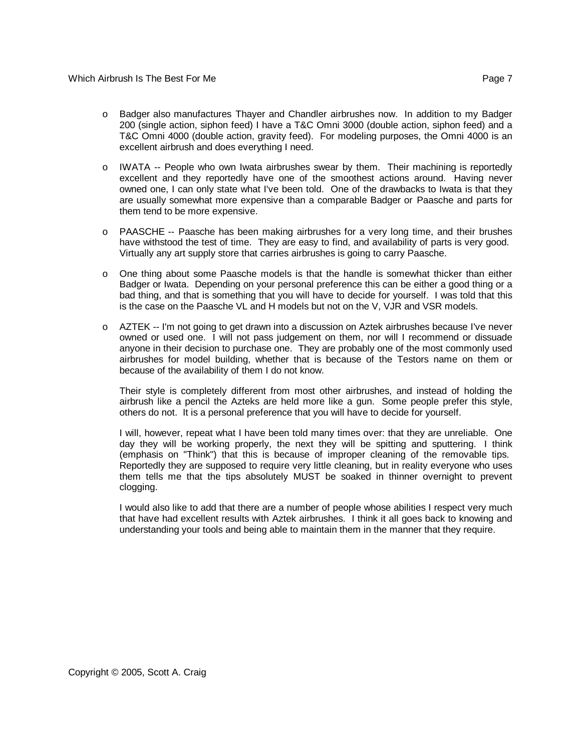- o Badger also manufactures Thayer and Chandler airbrushes now. In addition to my Badger 200 (single action, siphon feed) I have a T&C Omni 3000 (double action, siphon feed) and a T&C Omni 4000 (double action, gravity feed). For modeling purposes, the Omni 4000 is an excellent airbrush and does everything I need.
- o IWATA -- People who own Iwata airbrushes swear by them. Their machining is reportedly excellent and they reportedly have one of the smoothest actions around. Having never owned one, I can only state what I've been told. One of the drawbacks to Iwata is that they are usually somewhat more expensive than a comparable Badger or Paasche and parts for them tend to be more expensive.
- o PAASCHE -- Paasche has been making airbrushes for a very long time, and their brushes have withstood the test of time. They are easy to find, and availability of parts is very good. Virtually any art supply store that carries airbrushes is going to carry Paasche.
- o One thing about some Paasche models is that the handle is somewhat thicker than either Badger or Iwata. Depending on your personal preference this can be either a good thing or a bad thing, and that is something that you will have to decide for yourself. I was told that this is the case on the Paasche VL and H models but not on the V, VJR and VSR models.
- o AZTEK -- I'm not going to get drawn into a discussion on Aztek airbrushes because I've never owned or used one. I will not pass judgement on them, nor will I recommend or dissuade anyone in their decision to purchase one. They are probably one of the most commonly used airbrushes for model building, whether that is because of the Testors name on them or because of the availability of them I do not know.

Their style is completely different from most other airbrushes, and instead of holding the airbrush like a pencil the Azteks are held more like a gun. Some people prefer this style, others do not. It is a personal preference that you will have to decide for yourself.

I will, however, repeat what I have been told many times over: that they are unreliable. One day they will be working properly, the next they will be spitting and sputtering. I think (emphasis on "Think") that this is because of improper cleaning of the removable tips. Reportedly they are supposed to require very little cleaning, but in reality everyone who uses them tells me that the tips absolutely MUST be soaked in thinner overnight to prevent clogging.

I would also like to add that there are a number of people whose abilities I respect very much that have had excellent results with Aztek airbrushes. I think it all goes back to knowing and understanding your tools and being able to maintain them in the manner that they require.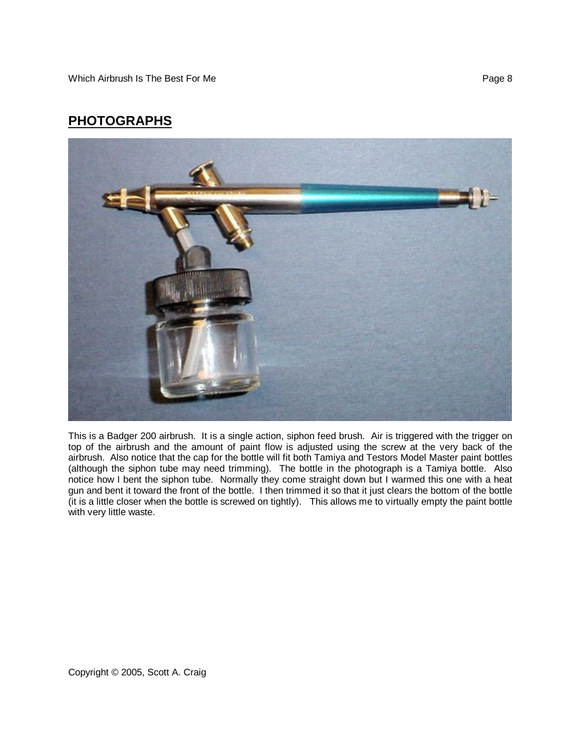# **PHOTOGRAPHS**



This is a Badger 200 airbrush. It is a single action, siphon feed brush. Air is triggered with the trigger on top of the airbrush and the amount of paint flow is adjusted using the screw at the very back of the airbrush. Also notice that the cap for the bottle will fit both Tamiya and Testors Model Master paint bottles (although the siphon tube may need trimming). The bottle in the photograph is a Tamiya bottle. Also notice how I bent the siphon tube. Normally they come straight down but I warmed this one with a heat gun and bent it toward the front of the bottle. I then trimmed it so that it just clears the bottom of the bottle (it is a little closer when the bottle is screwed on tightly). This allows me to virtually empty the paint bottle with very little waste.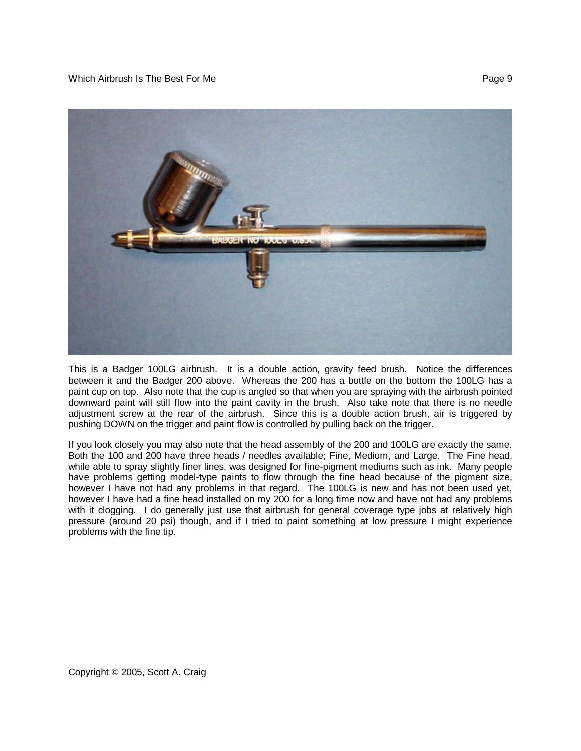

This is a Badger 100LG airbrush. It is a double action, gravity feed brush. Notice the differences between it and the Badger 200 above. Whereas the 200 has a bottle on the bottom the 100LG has a paint cup on top. Also note that the cup is angled so that when you are spraying with the airbrush pointed downward paint will still flow into the paint cavity in the brush. Also take note that there is no needle adjustment screw at the rear of the airbrush. Since this is a double action brush, air is triggered by pushing DOWN on the trigger and paint flow is controlled by pulling back on the trigger.

If you look closely you may also note that the head assembly of the 200 and 100LG are exactly the same. Both the 100 and 200 have three heads / needles available; Fine, Medium, and Large. The Fine head, while able to spray slightly finer lines, was designed for fine-pigment mediums such as ink. Many people have problems getting model-type paints to flow through the fine head because of the pigment size, however I have not had any problems in that regard. The 100LG is new and has not been used yet, however I have had a fine head installed on my 200 for a long time now and have not had any problems with it clogging. I do generally just use that airbrush for general coverage type jobs at relatively high pressure (around 20 psi) though, and if I tried to paint something at low pressure I might experience problems with the fine tip.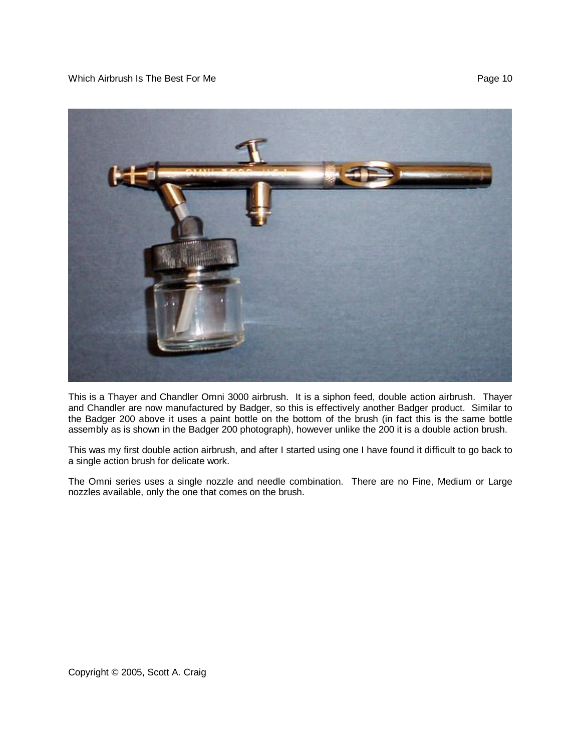

This is a Thayer and Chandler Omni 3000 airbrush. It is a siphon feed, double action airbrush. Thayer and Chandler are now manufactured by Badger, so this is effectively another Badger product. Similar to the Badger 200 above it uses a paint bottle on the bottom of the brush (in fact this is the same bottle assembly as is shown in the Badger 200 photograph), however unlike the 200 it is a double action brush.

This was my first double action airbrush, and after I started using one I have found it difficult to go back to a single action brush for delicate work.

The Omni series uses a single nozzle and needle combination. There are no Fine, Medium or Large nozzles available, only the one that comes on the brush.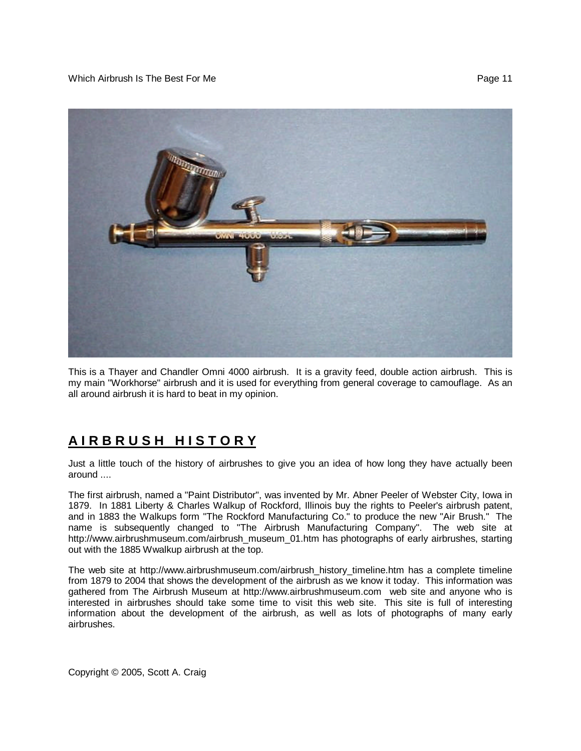

This is a Thayer and Chandler Omni 4000 airbrush. It is a gravity feed, double action airbrush. This is my main "Workhorse" airbrush and it is used for everything from general coverage to camouflage. As an all around airbrush it is hard to beat in my opinion.

# **A I R B R U S H H I S T O R Y**

Just a little touch of the history of airbrushes to give you an idea of how long they have actually been around ....

The first airbrush, named a "Paint Distributor", was invented by Mr. Abner Peeler of Webster City, Iowa in 1879. In 1881 Liberty & Charles Walkup of Rockford, Illinois buy the rights to Peeler's airbrush patent, and in 1883 the Walkups form "The Rockford Manufacturing Co." to produce the new "Air Brush." The name is subsequently changed to "The Airbrush Manufacturing Company". The web site at http://www.airbrushmuseum.com/airbrush\_museum\_01.htm has photographs of early airbrushes, starting out with the 1885 Wwalkup airbrush at the top.

The web site at http://www.airbrushmuseum.com/airbrush\_history\_timeline.htm has a complete timeline from 1879 to 2004 that shows the development of the airbrush as we know it today. This information was gathered from The Airbrush Museum at http://www.airbrushmuseum.com web site and anyone who is interested in airbrushes should take some time to visit this web site. This site is full of interesting information about the development of the airbrush, as well as lots of photographs of many early airbrushes.